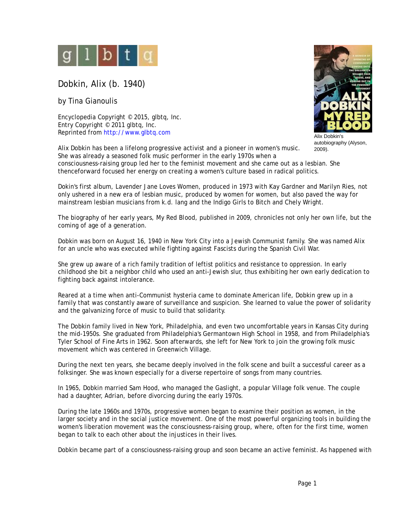

Dobkin, Alix (b. 1940)

by Tina Gianoulis

Encyclopedia Copyright © 2015, glbtq, Inc. Entry Copyright © 2011 glbtq, Inc. Reprinted from<http://www.glbtq.com>



Alix Dobkin's autobiography (Alyson,

2009). Alix Dobkin has been a lifelong progressive activist and a pioneer in women's music. She was already a seasoned folk music performer in the early 1970s when a consciousness-raising group led her to the feminist movement and she came out as a lesbian. She thenceforward focused her energy on creating a women's culture based in radical politics.

Dokin's first album, *Lavender Jane Loves Women*, produced in 1973 with Kay Gardner and Marilyn Ries, not only ushered in a new era of lesbian music, produced by women for women, but also paved the way for mainstream lesbian musicians from k.d. lang and the Indigo Girls to Bitch and Chely Wright.

The biography of her early years, *My Red Blood*, published in 2009, chronicles not only her own life, but the coming of age of a generation.

Dobkin was born on August 16, 1940 in New York City into a Jewish Communist family. She was named Alix for an uncle who was executed while fighting against Fascists during the Spanish Civil War.

She grew up aware of a rich family tradition of leftist politics and resistance to oppression. In early childhood she bit a neighbor child who used an anti-Jewish slur, thus exhibiting her own early dedication to fighting back against intolerance.

Reared at a time when anti-Communist hysteria came to dominate American life, Dobkin grew up in a family that was constantly aware of surveillance and suspicion. She learned to value the power of solidarity and the galvanizing force of music to build that solidarity.

The Dobkin family lived in New York, Philadelphia, and even two uncomfortable years in Kansas City during the mid-1950s. She graduated from Philadelphia's Germantown High School in 1958, and from Philadelphia's Tyler School of Fine Arts in 1962. Soon afterwards, she left for New York to join the growing folk music movement which was centered in Greenwich Village.

During the next ten years, she became deeply involved in the folk scene and built a successful career as a folksinger. She was known especially for a diverse repertoire of songs from many countries.

In 1965, Dobkin married Sam Hood, who managed the Gaslight, a popular Village folk venue. The couple had a daughter, Adrian, before divorcing during the early 1970s.

During the late 1960s and 1970s, progressive women began to examine their position as women, in the larger society and in the social justice movement. One of the most powerful organizing tools in building the women's liberation movement was the consciousness-raising group, where, often for the first time, women began to talk to each other about the injustices in their lives.

Dobkin became part of a consciousness-raising group and soon became an active feminist. As happened with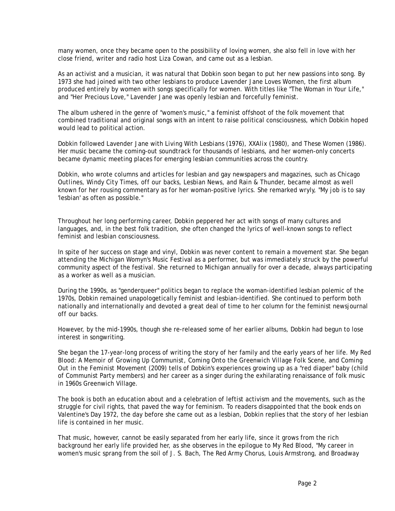many women, once they became open to the possibility of loving women, she also fell in love with her close friend, writer and radio host Liza Cowan, and came out as a lesbian.

As an activist and a musician, it was natural that Dobkin soon began to put her new passions into song. By 1973 she had joined with two other lesbians to produce *Lavender Jane Loves Women,* the first album produced entirely by women with songs specifically for women. With titles like "The Woman in Your Life," and "Her Precious Love," *Lavender Jane* was openly lesbian and forcefully feminist.

The album ushered in the genre of "women's music," a feminist offshoot of the folk movement that combined traditional and original songs with an intent to raise political consciousness, which Dobkin hoped would lead to political action.

Dobkin followed *Lavender Jane* with *Living With Lesbians* (1976)*, XXAlix* (1980)*,* and *These Women* (1986). Her music became the coming-out soundtrack for thousands of lesbians, and her women-only concerts became dynamic meeting places for emerging lesbian communities across the country.

Dobkin, who wrote columns and articles for lesbian and gay newspapers and magazines, such as *Chicago Outlines, Windy City Times, off our backs, Lesbian* News, and *Rain & Thunder,* became almost as well known for her rousing commentary as for her woman-positive lyrics. She remarked wryly, "My job is to say 'lesbian' as often as possible."

Throughout her long performing career, Dobkin peppered her act with songs of many cultures and languages, and, in the best folk tradition, she often changed the lyrics of well-known songs to reflect feminist and lesbian consciousness.

In spite of her success on stage and vinyl, Dobkin was never content to remain a movement star. She began attending the Michigan Womyn's Music Festival as a performer, but was immediately struck by the powerful community aspect of the festival. She returned to Michigan annually for over a decade, always participating as a worker as well as a musician.

During the 1990s, as "genderqueer" politics began to replace the woman-identified lesbian polemic of the 1970s, Dobkin remained unapologetically feminist and lesbian-identified. She continued to perform both nationally and internationally and devoted a great deal of time to her column for the feminist newsjournal *off our backs.*

However, by the mid-1990s, though she re-released some of her earlier albums, Dobkin had begun to lose interest in songwriting.

She began the 17-year-long process of writing the story of her family and the early years of her life. *My Red Blood: A Memoir of Growing Up Communist, Coming Onto the Greenwich Village Folk Scene, and Coming Out in the Feminist Movement* (2009) tells of Dobkin's experiences growing up as a "red diaper" baby (child of Communist Party members) and her career as a singer during the exhilarating renaissance of folk music in 1960s Greenwich Village.

The book is both an education about and a celebration of leftist activism and the movements, such as the struggle for civil rights, that paved the way for feminism. To readers disappointed that the book ends on Valentine's Day 1972, the day before she came out as a lesbian, Dobkin replies that the story of her lesbian life is contained in her music.

That music, however, cannot be easily separated from her early life, since it grows from the rich background her early life provided her, as she observes in the epilogue to *My Red Blood*, "My career in women's music sprang from the soil of J. S. Bach, The Red Army Chorus, Louis Armstrong, and Broadway